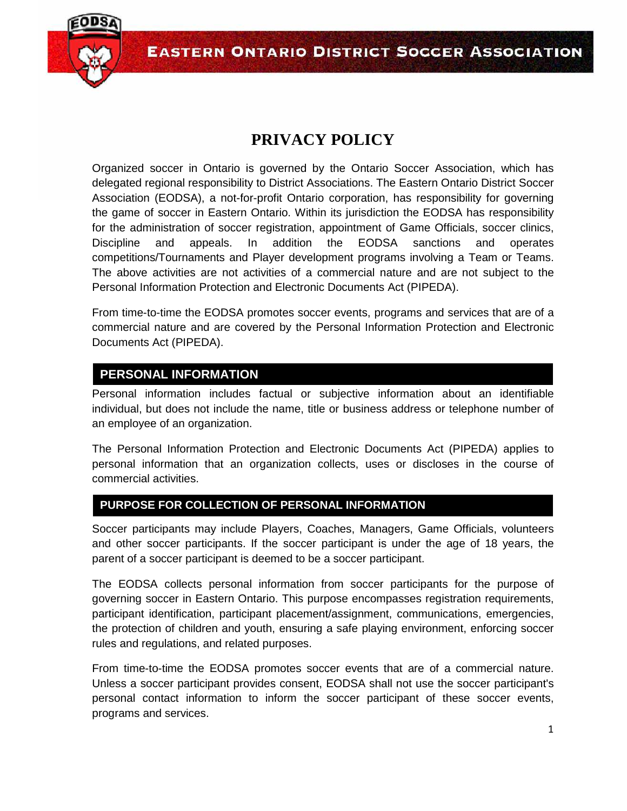

# **PRIVACY POLICY**

Organized soccer in Ontario is governed by the Ontario Soccer Association, which has delegated regional responsibility to District Associations. The Eastern Ontario District Soccer Association (EODSA), a not-for-profit Ontario corporation, has responsibility for governing the game of soccer in Eastern Ontario. Within its jurisdiction the EODSA has responsibility for the administration of soccer registration, appointment of Game Officials, soccer clinics, Discipline and appeals. In addition the EODSA sanctions and operates competitions/Tournaments and Player development programs involving a Team or Teams. The above activities are not activities of a commercial nature and are not subject to the Personal Information Protection and Electronic Documents Act (PIPEDA).

From time-to-time the EODSA promotes soccer events, programs and services that are of a commercial nature and are covered by the Personal Information Protection and Electronic Documents Act (PIPEDA).

# **PERSONAL INFORMATION**

Personal information includes factual or subjective information about an identifiable individual, but does not include the name, title or business address or telephone number of an employee of an organization.

The Personal Information Protection and Electronic Documents Act (PIPEDA) applies to personal information that an organization collects, uses or discloses in the course of commercial activities.

# **PURPOSE FOR COLLECTION OF PERSONAL INFORMATION**

Soccer participants may include Players, Coaches, Managers, Game Officials, volunteers and other soccer participants. If the soccer participant is under the age of 18 years, the parent of a soccer participant is deemed to be a soccer participant.

The EODSA collects personal information from soccer participants for the purpose of governing soccer in Eastern Ontario. This purpose encompasses registration requirements, participant identification, participant placement/assignment, communications, emergencies, the protection of children and youth, ensuring a safe playing environment, enforcing soccer rules and regulations, and related purposes.

From time-to-time the EODSA promotes soccer events that are of a commercial nature. Unless a soccer participant provides consent, EODSA shall not use the soccer participant's personal contact information to inform the soccer participant of these soccer events, programs and services.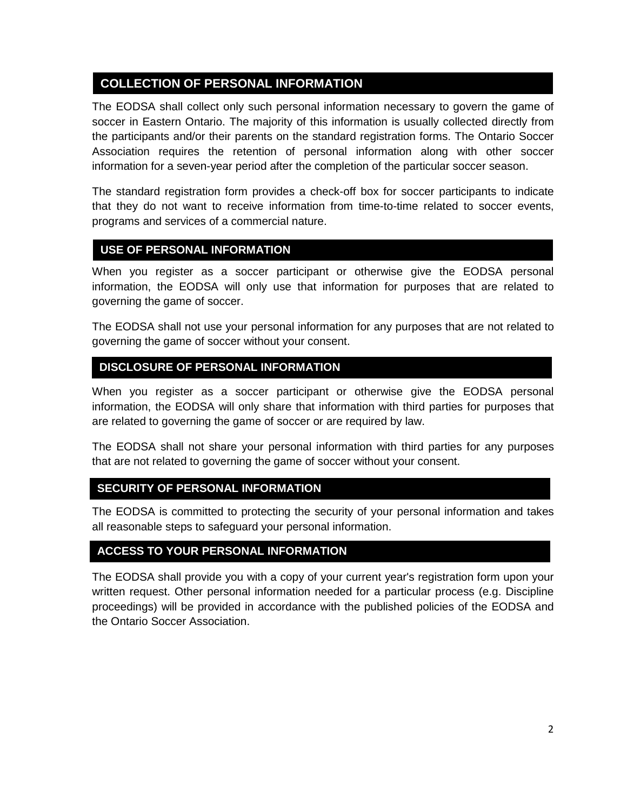# **COLLECTION OF PERSONAL INFORMATION**

The EODSA shall collect only such personal information necessary to govern the game of soccer in Eastern Ontario. The majority of this information is usually collected directly from the participants and/or their parents on the standard registration forms. The Ontario Soccer Association requires the retention of personal information along with other soccer information for a seven-year period after the completion of the particular soccer season.

The standard registration form provides a check-off box for soccer participants to indicate that they do not want to receive information from time-to-time related to soccer events, programs and services of a commercial nature.

## **USE OF PERSONAL INFORMATION**

When you register as a soccer participant or otherwise give the EODSA personal information, the EODSA will only use that information for purposes that are related to governing the game of soccer.

The EODSA shall not use your personal information for any purposes that are not related to governing the game of soccer without your consent.

## **DISCLOSURE OF PERSONAL INFORMATION**

When you register as a soccer participant or otherwise give the EODSA personal information, the EODSA will only share that information with third parties for purposes that are related to governing the game of soccer or are required by law.

The EODSA shall not share your personal information with third parties for any purposes that are not related to governing the game of soccer without your consent.

## **SECURITY OF PERSONAL INFORMATION**

The EODSA is committed to protecting the security of your personal information and takes all reasonable steps to safeguard your personal information.

## **ACCESS TO YOUR PERSONAL INFORMATION**

The EODSA shall provide you with a copy of your current year's registration form upon your written request. Other personal information needed for a particular process (e.g. Discipline proceedings) will be provided in accordance with the published policies of the EODSA and the Ontario Soccer Association.